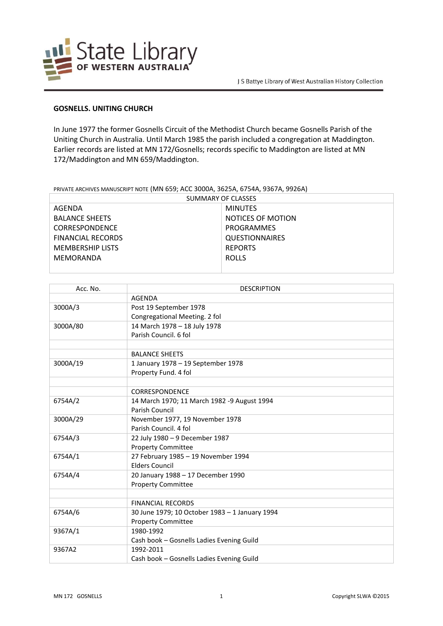

## **GOSNELLS. UNITING CHURCH**

In June 1977 the former Gosnells Circuit of the Methodist Church became Gosnells Parish of the Uniting Church in Australia. Until March 1985 the parish included a congregation at Maddington. Earlier records are listed at MN 172/Gosnells; records specific to Maddington are listed at MN 172/Maddington and MN 659/Maddington.

## PRIVATE ARCHIVES MANUSCRIPT NOTE (MN 659; ACC 3000A, 3625A, 6754A, 9367A, 9926A)

| SUMMARY OF CLASSES       |                       |
|--------------------------|-----------------------|
| AGENDA                   | <b>MINUTES</b>        |
| <b>BALANCE SHEETS</b>    | NOTICES OF MOTION     |
| <b>CORRESPONDENCE</b>    | PROGRAMMES            |
| <b>FINANCIAL RECORDS</b> | <b>QUESTIONNAIRES</b> |
| <b>MEMBERSHIP LISTS</b>  | <b>REPORTS</b>        |
| MEMORANDA                | <b>ROLLS</b>          |
|                          |                       |

| Acc. No. | <b>DESCRIPTION</b>                             |
|----------|------------------------------------------------|
|          | <b>AGENDA</b>                                  |
| 3000A/3  | Post 19 September 1978                         |
|          | Congregational Meeting. 2 fol                  |
| 3000A/80 | 14 March 1978 - 18 July 1978                   |
|          | Parish Council, 6 fol                          |
|          |                                                |
|          | <b>BALANCE SHEETS</b>                          |
| 3000A/19 | 1 January 1978 - 19 September 1978             |
|          | Property Fund. 4 fol                           |
|          |                                                |
|          | CORRESPONDENCE                                 |
| 6754A/2  | 14 March 1970; 11 March 1982 -9 August 1994    |
|          | Parish Council                                 |
| 3000A/29 | November 1977, 19 November 1978                |
|          | Parish Council. 4 fol                          |
| 6754A/3  | 22 July 1980 - 9 December 1987                 |
|          | <b>Property Committee</b>                      |
| 6754A/1  | 27 February 1985 - 19 November 1994            |
|          | <b>Elders Council</b>                          |
| 6754A/4  | 20 January 1988 - 17 December 1990             |
|          | <b>Property Committee</b>                      |
|          |                                                |
|          | <b>FINANCIAL RECORDS</b>                       |
| 6754A/6  | 30 June 1979; 10 October 1983 - 1 January 1994 |
|          | <b>Property Committee</b>                      |
| 9367A/1  | 1980-1992                                      |
|          | Cash book - Gosnells Ladies Evening Guild      |
| 9367A2   | 1992-2011                                      |
|          | Cash book - Gosnells Ladies Evening Guild      |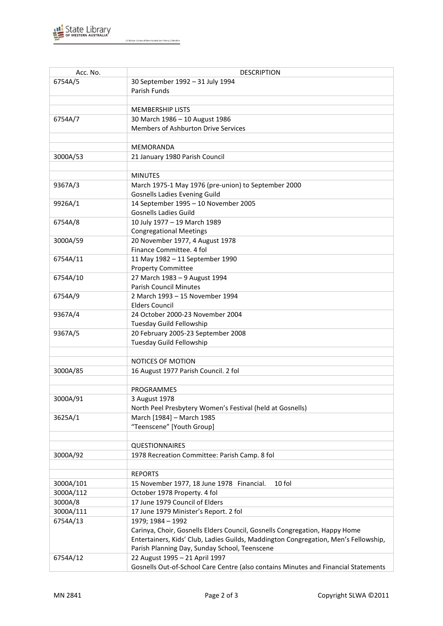

| Acc. No.  | <b>DESCRIPTION</b>                                                                  |
|-----------|-------------------------------------------------------------------------------------|
| 6754A/5   | 30 September 1992 - 31 July 1994                                                    |
|           | Parish Funds                                                                        |
|           |                                                                                     |
|           | <b>MEMBERSHIP LISTS</b>                                                             |
| 6754A/7   | 30 March 1986 - 10 August 1986                                                      |
|           | Members of Ashburton Drive Services                                                 |
|           |                                                                                     |
|           | MEMORANDA                                                                           |
| 3000A/53  | 21 January 1980 Parish Council                                                      |
|           |                                                                                     |
|           | <b>MINUTES</b>                                                                      |
| 9367A/3   | March 1975-1 May 1976 (pre-union) to September 2000                                 |
|           | <b>Gosnells Ladies Evening Guild</b>                                                |
| 9926A/1   | 14 September 1995 - 10 November 2005                                                |
|           | <b>Gosnells Ladies Guild</b>                                                        |
| 6754A/8   | 10 July 1977 - 19 March 1989                                                        |
|           | <b>Congregational Meetings</b>                                                      |
| 3000A/59  | 20 November 1977, 4 August 1978                                                     |
|           | Finance Committee. 4 fol                                                            |
| 6754A/11  | 11 May 1982 - 11 September 1990                                                     |
|           | <b>Property Committee</b>                                                           |
| 6754A/10  | 27 March 1983 - 9 August 1994                                                       |
|           | <b>Parish Council Minutes</b>                                                       |
| 6754A/9   | 2 March 1993 - 15 November 1994                                                     |
|           | <b>Elders Council</b>                                                               |
| 9367A/4   | 24 October 2000-23 November 2004                                                    |
|           | Tuesday Guild Fellowship                                                            |
| 9367A/5   | 20 February 2005-23 September 2008                                                  |
|           | Tuesday Guild Fellowship                                                            |
|           |                                                                                     |
|           | NOTICES OF MOTION                                                                   |
| 3000A/85  | 16 August 1977 Parish Council. 2 fol                                                |
|           |                                                                                     |
|           | PROGRAMMES                                                                          |
| 3000A/91  | 3 August 1978                                                                       |
|           | North Peel Presbytery Women's Festival (held at Gosnells)                           |
| 3625A/1   | March [1984] - March 1985                                                           |
|           | "Teenscene" [Youth Group]                                                           |
|           |                                                                                     |
|           | <b>QUESTIONNAIRES</b>                                                               |
| 3000A/92  | 1978 Recreation Committee: Parish Camp. 8 fol                                       |
|           |                                                                                     |
|           | <b>REPORTS</b>                                                                      |
| 3000A/101 | 10 fol<br>15 November 1977, 18 June 1978 Financial.                                 |
| 3000A/112 | October 1978 Property. 4 fol                                                        |
| 3000A/8   | 17 June 1979 Council of Elders                                                      |
| 3000A/111 | 17 June 1979 Minister's Report. 2 fol                                               |
| 6754A/13  | 1979; 1984 - 1992                                                                   |
|           | Carinya, Choir, Gosnells Elders Council, Gosnells Congregation, Happy Home          |
|           | Entertainers, Kids' Club, Ladies Guilds, Maddington Congregation, Men's Fellowship, |
|           | Parish Planning Day, Sunday School, Teenscene                                       |
| 6754A/12  | 22 August 1995 - 21 April 1997                                                      |
|           | Gosnells Out-of-School Care Centre (also contains Minutes and Financial Statements  |